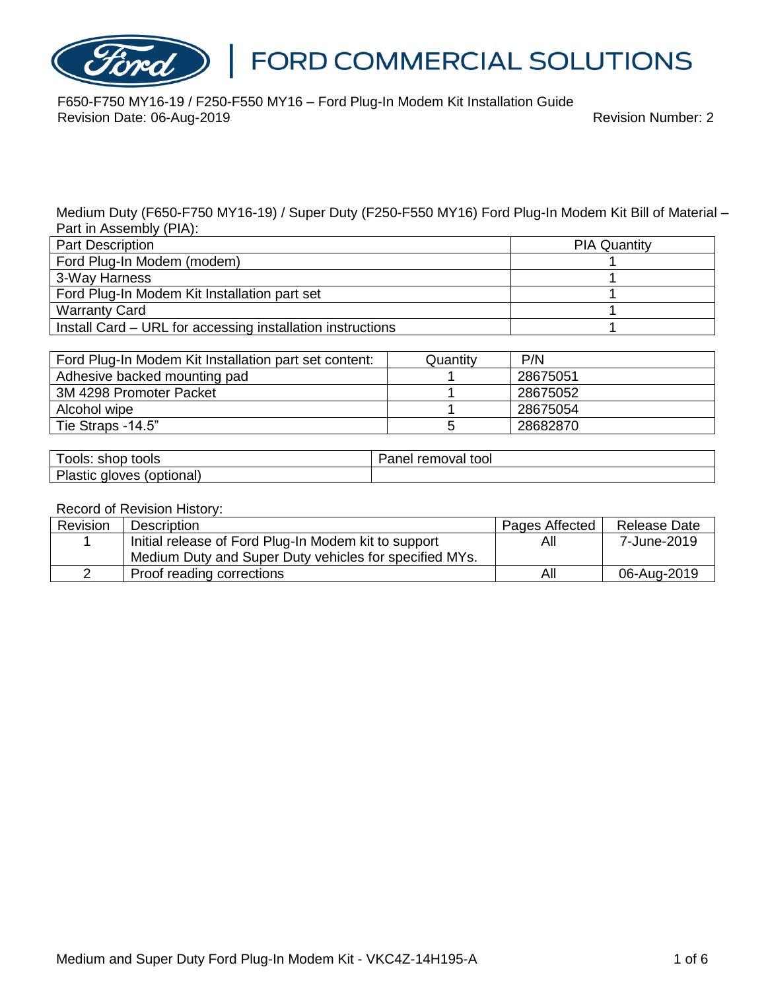

F650-F750 MY16-19 / F250-F550 MY16 – Ford Plug-In Modem Kit Installation Guide Revision Date: 06-Aug-2019 **Revision Date: 06-Aug-2019** Revision Number: 2

Medium Duty (F650-F750 MY16-19) / Super Duty (F250-F550 MY16) Ford Plug-In Modem Kit Bill of Material – Part in Assembly (PIA):

| <b>Part Description</b>                                    | <b>PIA Quantity</b> |
|------------------------------------------------------------|---------------------|
| Ford Plug-In Modem (modem)                                 |                     |
| 3-Way Harness                                              |                     |
| Ford Plug-In Modem Kit Installation part set               |                     |
| <b>Warranty Card</b>                                       |                     |
| Install Card – URL for accessing installation instructions |                     |

| Ford Plug-In Modem Kit Installation part set content: | Quantity | P/N      |
|-------------------------------------------------------|----------|----------|
| Adhesive backed mounting pad                          |          | 28675051 |
| 3M 4298 Promoter Packet                               |          | 28675052 |
| Alcohol wipe                                          |          | 28675054 |
| Tie Straps -14.5"                                     |          | 28682870 |

| tools<br>shor<br>ools                   | tool<br>rer<br>n n 10<br>noval<br>aner |
|-----------------------------------------|----------------------------------------|
| .ור<br>optional.<br>wes<br>aĸ<br>asuc 1 |                                        |

#### Record of Revision History:

| Revision | <b>Description</b>                                     | Pages Affected | <b>Release Date</b> |
|----------|--------------------------------------------------------|----------------|---------------------|
|          | Initial release of Ford Plug-In Modem kit to support   | All            | 7-June-2019         |
|          | Medium Duty and Super Duty vehicles for specified MYs. |                |                     |
|          | Proof reading corrections                              | All            | 06-Aug-2019         |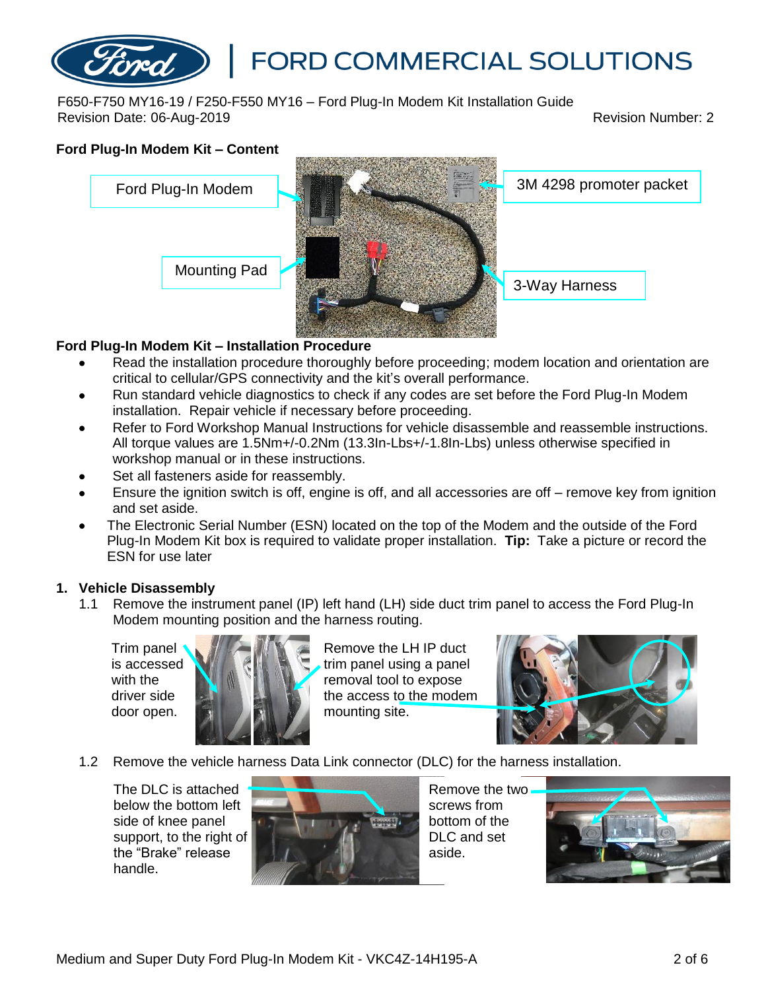F650-F750 MY16-19 / F250-F550 MY16 – Ford Plug-In Modem Kit Installation Guide Revision Date: 06-Aug-2019 Revision Number: 2

# **Ford Plug-In Modem Kit – Content**



## **Ford Plug-In Modem Kit – Installation Procedure**

- Read the installation procedure thoroughly before proceeding; modem location and orientation are critical to cellular/GPS connectivity and the kit's overall performance.
- Run standard vehicle diagnostics to check if any codes are set before the Ford Plug-In Modem installation. Repair vehicle if necessary before proceeding.
- Refer to Ford Workshop Manual Instructions for vehicle disassemble and reassemble instructions. All torque values are 1.5Nm+/-0.2Nm (13.3In-Lbs+/-1.8In-Lbs) unless otherwise specified in workshop manual or in these instructions.
- Set all fasteners aside for reassembly.
- Ensure the ignition switch is off, engine is off, and all accessories are off remove key from ignition and set aside.
- The Electronic Serial Number (ESN) located on the top of the Modem and the outside of the Ford Plug-In Modem Kit box is required to validate proper installation. **Tip:** Take a picture or record the ESN for use later

### **1. Vehicle Disassembly**

1.1 Remove the instrument panel (IP) left hand (LH) side duct trim panel to access the Ford Plug-In Modem mounting position and the harness routing.

Trim panel is accessed with the driver side door open.



Remove the LH IP duct trim panel using a panel removal tool to expose the access to the modem mounting site.



1.2 Remove the vehicle harness Data Link connector (DLC) for the harness installation.

The DLC is attached below the bottom left side of knee panel support, to the right of the "Brake" release handle.



Remove the two screws from bottom of the DLC and set aside.

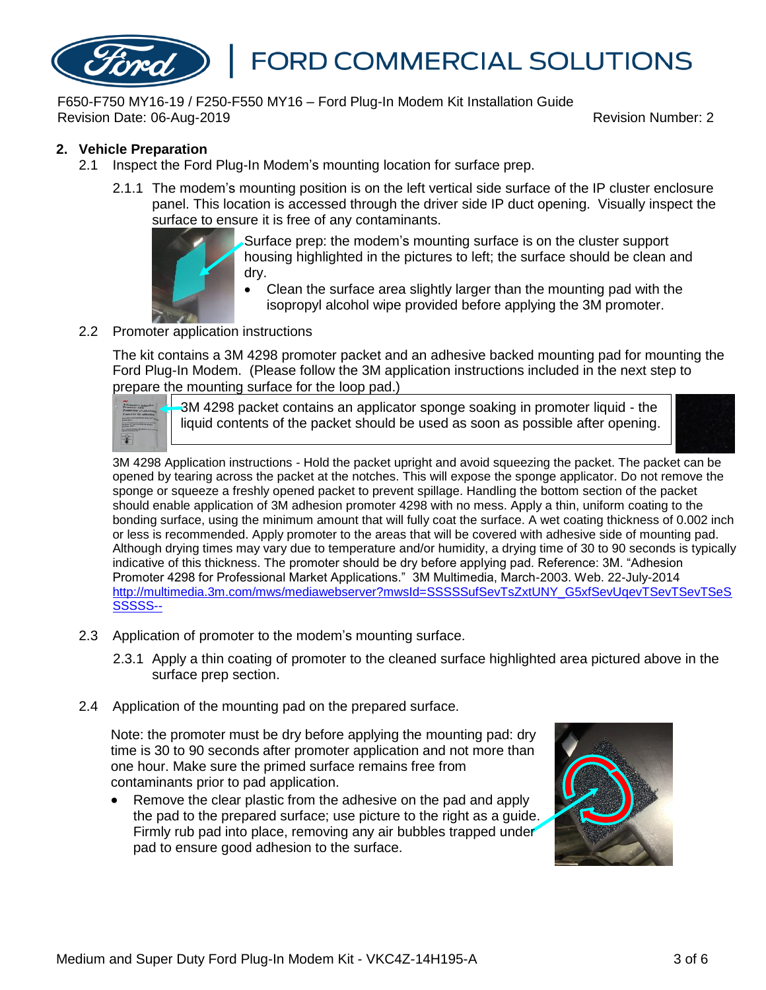F650-F750 MY16-19 / F250-F550 MY16 – Ford Plug-In Modem Kit Installation Guide Revision Date: 06-Aug-2019 Revision Number: 2

#### **2. Vehicle Preparation**

- 2.1 Inspect the Ford Plug-In Modem's mounting location for surface prep.
	- 2.1.1 The modem's mounting position is on the left vertical side surface of the IP cluster enclosure panel. This location is accessed through the driver side IP duct opening. Visually inspect the surface to ensure it is free of any contaminants.



Surface prep: the modem's mounting surface is on the cluster support housing highlighted in the pictures to left; the surface should be clean and dry.

• Clean the surface area slightly larger than the mounting pad with the isopropyl alcohol wipe provided before applying the 3M promoter.

#### 2.2 Promoter application instructions

The kit contains a 3M 4298 promoter packet and an adhesive backed mounting pad for mounting the Ford Plug-In Modem. (Please follow the 3M application instructions included in the next step to prepare the mounting surface for the loop pad.)

| ---<br>$-100$<br><b>STATISTICS</b> |  |
|------------------------------------|--|
|                                    |  |
|                                    |  |
|                                    |  |

3M 4298 packet contains an applicator sponge soaking in promoter liquid - the liquid contents of the packet should be used as soon as possible after opening.



3M 4298 Application instructions - Hold the packet upright and avoid squeezing the packet. The packet can be opened by tearing across the packet at the notches. This will expose the sponge applicator. Do not remove the sponge or squeeze a freshly opened packet to prevent spillage. Handling the bottom section of the packet should enable application of 3M adhesion promoter 4298 with no mess. Apply a thin, uniform coating to the bonding surface, using the minimum amount that will fully coat the surface. A wet coating thickness of 0.002 inch or less is recommended. Apply promoter to the areas that will be covered with adhesive side of mounting pad. Although drying times may vary due to temperature and/or humidity, a drying time of 30 to 90 seconds is typically indicative of this thickness. The promoter should be dry before applying pad. Reference: 3M. "Adhesion Promoter 4298 for Professional Market Applications." 3M Multimedia, March-2003. Web. 22-July-2014 [http://multimedia.3m.com/mws/mediawebserver?mwsId=SSSSSufSevTsZxtUNY\\_G5xfSevUqevTSevTSevTSeS](http://multimedia.3m.com/mws/mediawebserver?mwsId=SSSSSufSevTsZxtUNY_G5xfSevUqevTSevTSevTSeSSSSSS--) [SSSSS--](http://multimedia.3m.com/mws/mediawebserver?mwsId=SSSSSufSevTsZxtUNY_G5xfSevUqevTSevTSevTSeSSSSSS--)

- 2.3 Application of promoter to the modem's mounting surface.
	- 2.3.1 Apply a thin coating of promoter to the cleaned surface highlighted area pictured above in the surface prep section.
- 2.4 Application of the mounting pad on the prepared surface.

Note: the promoter must be dry before applying the mounting pad: dry time is 30 to 90 seconds after promoter application and not more than one hour. Make sure the primed surface remains free from contaminants prior to pad application.

• Remove the clear plastic from the adhesive on the pad and apply the pad to the prepared surface; use picture to the right as a guide. Firmly rub pad into place, removing any air bubbles trapped under pad to ensure good adhesion to the surface.

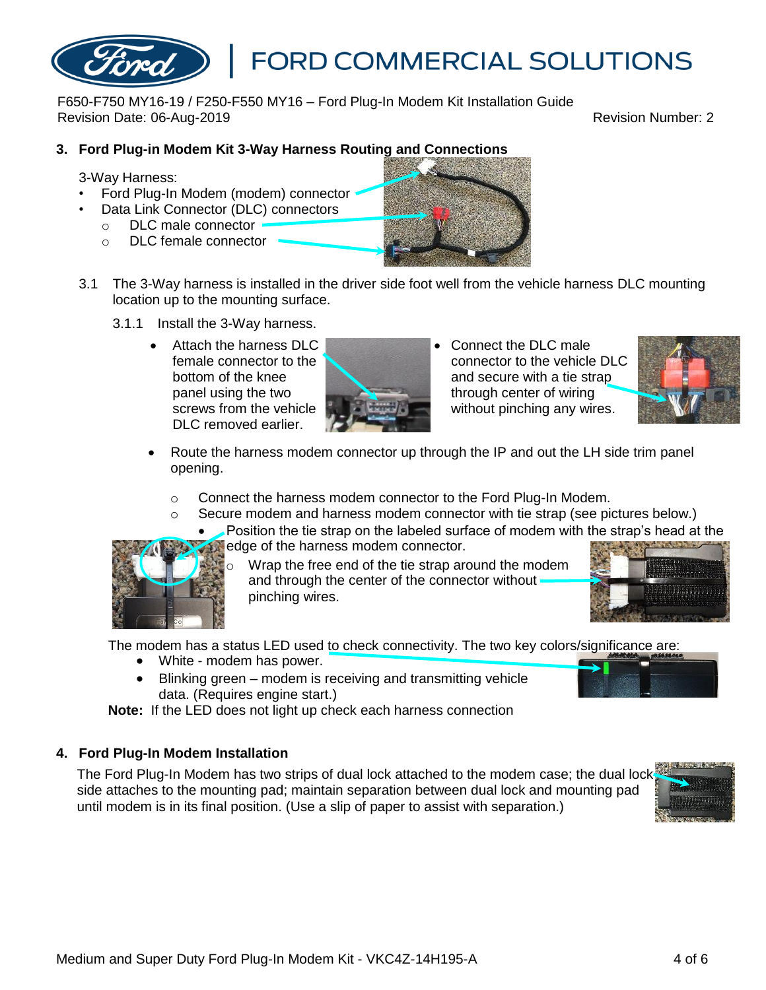# **3. Ford Plug-in Modem Kit 3-Way Harness Routing and Connections**

F650-F750 MY16-19 / F250-F550 MY16 – Ford Plug-In Modem Kit Installation Guide

3-Way Harness:

- Ford Plug-In Modem (modem) connector
- Data Link Connector (DLC) connectors
	- o DLC male connector
	- o DLC female connector
- 3.1 The 3-Way harness is installed in the driver side foot well from the vehicle harness DLC mounting location up to the mounting surface.
	- 3.1.1 Install the 3-Way harness.
		- Attach the harness DLC female connector to the bottom of the knee panel using the two screws from the vehicle DLC removed earlier.
- connector to the vehicle DLC and secure with a tie strap through center of wiring without pinching any wires.
- Route the harness modem connector up through the IP and out the LH side trim panel opening.
	- $\circ$  Connect the harness modem connector to the Ford Plug-In Modem.
	- Secure modem and harness modem connector with tie strap (see pictures below.)
		- Position the tie strap on the labeled surface of modem with the strap's head at the edge of the harness modem connector.

Wrap the free end of the tie strap around the modem and through the center of the connector without pinching wires.

The modem has a status LED used to check connectivity. The two key colors/significance are:

- White modem has power.
- Blinking green modem is receiving and transmitting vehicle data. (Requires engine start.)

**Note:** If the LED does not light up check each harness connection

### **4. Ford Plug-In Modem Installation**

The Ford Plug-In Modem has two strips of dual lock attached to the modem case; the dual lock side attaches to the mounting pad; maintain separation between dual lock and mounting pad until modem is in its final position. (Use a slip of paper to assist with separation.)







**FORD COMMERCIAL SOLUTIONS** 



Revision Date: 06-Aug-2019 Revision Number: 2







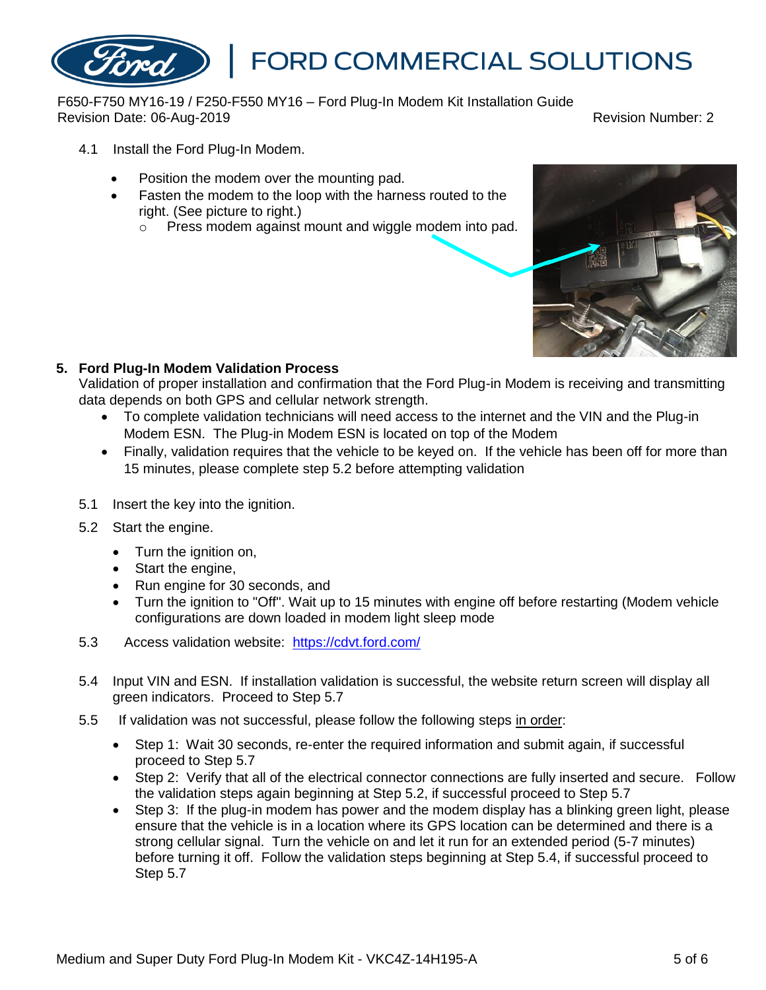F650-F750 MY16-19 / F250-F550 MY16 – Ford Plug-In Modem Kit Installation Guide Revision Date: 06-Aug-2019 Revision Number: 2

- 4.1 Install the Ford Plug-In Modem.
	- Position the modem over the mounting pad.
	- Fasten the modem to the loop with the harness routed to the right. (See picture to right.)
		- o Press modem against mount and wiggle modem into pad.



### **5. Ford Plug-In Modem Validation Process**

Validation of proper installation and confirmation that the Ford Plug-in Modem is receiving and transmitting data depends on both GPS and cellular network strength.

- To complete validation technicians will need access to the internet and the VIN and the Plug-in Modem ESN. The Plug-in Modem ESN is located on top of the Modem
- Finally, validation requires that the vehicle to be keyed on. If the vehicle has been off for more than 15 minutes, please complete step 5.2 before attempting validation
- 5.1 Insert the key into the ignition.
- 5.2 Start the engine.
	- Turn the ignition on,
	- Start the engine,
	- Run engine for 30 seconds, and
	- Turn the ignition to "Off". Wait up to 15 minutes with engine off before restarting (Modem vehicle configurations are down loaded in modem light sleep mode
- 5.3 Access validation website: <https://cdvt.ford.com/>
- 5.4 Input VIN and ESN. If installation validation is successful, the website return screen will display all green indicators. Proceed to Step 5.7
- 5.5 If validation was not successful, please follow the following steps in order:
	- Step 1: Wait 30 seconds, re-enter the required information and submit again, if successful proceed to Step 5.7
	- Step 2: Verify that all of the electrical connector connections are fully inserted and secure. Follow the validation steps again beginning at Step 5.2, if successful proceed to Step 5.7
	- Step 3: If the plug-in modem has power and the modem display has a blinking green light, please ensure that the vehicle is in a location where its GPS location can be determined and there is a strong cellular signal. Turn the vehicle on and let it run for an extended period (5-7 minutes) before turning it off. Follow the validation steps beginning at Step 5.4, if successful proceed to Step 5.7